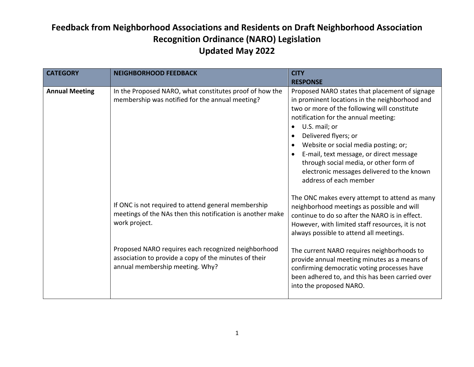| <b>CATEGORY</b>       | <b>NEIGHBORHOOD FEEDBACK</b>                                                                                                                    | <b>CITY</b><br><b>RESPONSE</b>                                                                                                                                                                                                                                                                                                                                                                                                         |
|-----------------------|-------------------------------------------------------------------------------------------------------------------------------------------------|----------------------------------------------------------------------------------------------------------------------------------------------------------------------------------------------------------------------------------------------------------------------------------------------------------------------------------------------------------------------------------------------------------------------------------------|
| <b>Annual Meeting</b> | In the Proposed NARO, what constitutes proof of how the<br>membership was notified for the annual meeting?                                      | Proposed NARO states that placement of signage<br>in prominent locations in the neighborhood and<br>two or more of the following will constitute<br>notification for the annual meeting:<br>U.S. mail; or<br>Delivered flyers; or<br>Website or social media posting; or;<br>E-mail, text message, or direct message<br>through social media, or other form of<br>electronic messages delivered to the known<br>address of each member |
|                       | If ONC is not required to attend general membership<br>meetings of the NAs then this notification is another make<br>work project.              | The ONC makes every attempt to attend as many<br>neighborhood meetings as possible and will<br>continue to do so after the NARO is in effect.<br>However, with limited staff resources, it is not<br>always possible to attend all meetings.                                                                                                                                                                                           |
|                       | Proposed NARO requires each recognized neighborhood<br>association to provide a copy of the minutes of their<br>annual membership meeting. Why? | The current NARO requires neighborhoods to<br>provide annual meeting minutes as a means of<br>confirming democratic voting processes have<br>been adhered to, and this has been carried over<br>into the proposed NARO.                                                                                                                                                                                                                |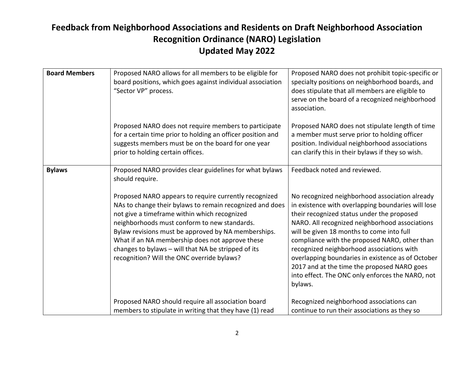| <b>Board Members</b> | Proposed NARO allows for all members to be eligible for<br>board positions, which goes against individual association<br>"Sector VP" process.                                                                                                                                                                                                                                                                                                                                                                  | Proposed NARO does not prohibit topic-specific or<br>specialty positions on neighborhood boards, and<br>does stipulate that all members are eligible to<br>serve on the board of a recognized neighborhood<br>association.                                                                                                                                                                                                                                                                                                                         |
|----------------------|----------------------------------------------------------------------------------------------------------------------------------------------------------------------------------------------------------------------------------------------------------------------------------------------------------------------------------------------------------------------------------------------------------------------------------------------------------------------------------------------------------------|----------------------------------------------------------------------------------------------------------------------------------------------------------------------------------------------------------------------------------------------------------------------------------------------------------------------------------------------------------------------------------------------------------------------------------------------------------------------------------------------------------------------------------------------------|
|                      | Proposed NARO does not require members to participate<br>for a certain time prior to holding an officer position and<br>suggests members must be on the board for one year<br>prior to holding certain offices.                                                                                                                                                                                                                                                                                                | Proposed NARO does not stipulate length of time<br>a member must serve prior to holding officer<br>position. Individual neighborhood associations<br>can clarify this in their bylaws if they so wish.                                                                                                                                                                                                                                                                                                                                             |
| <b>Bylaws</b>        | Proposed NARO provides clear guidelines for what bylaws<br>should require.<br>Proposed NARO appears to require currently recognized<br>NAs to change their bylaws to remain recognized and does<br>not give a timeframe within which recognized<br>neighborhoods must conform to new standards.<br>Bylaw revisions must be approved by NA memberships.<br>What if an NA membership does not approve these<br>changes to bylaws - will that NA be stripped of its<br>recognition? Will the ONC override bylaws? | Feedback noted and reviewed.<br>No recognized neighborhood association already<br>in existence with overlapping boundaries will lose<br>their recognized status under the proposed<br>NARO. All recognized neighborhood associations<br>will be given 18 months to come into full<br>compliance with the proposed NARO, other than<br>recognized neighborhood associations with<br>overlapping boundaries in existence as of October<br>2017 and at the time the proposed NARO goes<br>into effect. The ONC only enforces the NARO, not<br>bylaws. |
|                      | Proposed NARO should require all association board<br>members to stipulate in writing that they have (1) read                                                                                                                                                                                                                                                                                                                                                                                                  | Recognized neighborhood associations can<br>continue to run their associations as they so                                                                                                                                                                                                                                                                                                                                                                                                                                                          |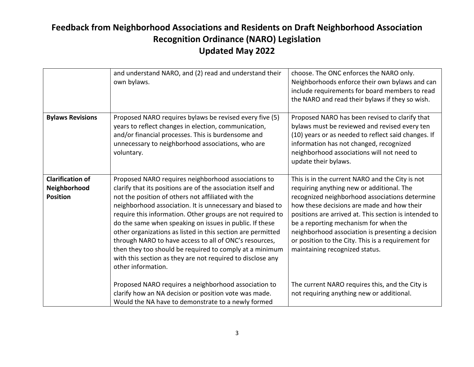|                                                            | and understand NARO, and (2) read and understand their<br>own bylaws.                                                                                                                                                                                                                                                                                                                                                                                                                                                                                                                                                                   | choose. The ONC enforces the NARO only.<br>Neighborhoods enforce their own bylaws and can<br>include requirements for board members to read<br>the NARO and read their bylaws if they so wish.                                                                                                                                                                                                                                              |
|------------------------------------------------------------|-----------------------------------------------------------------------------------------------------------------------------------------------------------------------------------------------------------------------------------------------------------------------------------------------------------------------------------------------------------------------------------------------------------------------------------------------------------------------------------------------------------------------------------------------------------------------------------------------------------------------------------------|---------------------------------------------------------------------------------------------------------------------------------------------------------------------------------------------------------------------------------------------------------------------------------------------------------------------------------------------------------------------------------------------------------------------------------------------|
| <b>Bylaws Revisions</b>                                    | Proposed NARO requires bylaws be revised every five (5)<br>years to reflect changes in election, communication,<br>and/or financial processes. This is burdensome and<br>unnecessary to neighborhood associations, who are<br>voluntary.                                                                                                                                                                                                                                                                                                                                                                                                | Proposed NARO has been revised to clarify that<br>bylaws must be reviewed and revised every ten<br>(10) years or as needed to reflect said changes. If<br>information has not changed, recognized<br>neighborhood associations will not need to<br>update their bylaws.                                                                                                                                                                     |
| <b>Clarification of</b><br>Neighborhood<br><b>Position</b> | Proposed NARO requires neighborhood associations to<br>clarify that its positions are of the association itself and<br>not the position of others not affiliated with the<br>neighborhood association. It is unnecessary and biased to<br>require this information. Other groups are not required to<br>do the same when speaking on issues in public. If these<br>other organizations as listed in this section are permitted<br>through NARO to have access to all of ONC's resources,<br>then they too should be required to comply at a minimum<br>with this section as they are not required to disclose any<br>other information. | This is in the current NARO and the City is not<br>requiring anything new or additional. The<br>recognized neighborhood associations determine<br>how these decisions are made and how their<br>positions are arrived at. This section is intended to<br>be a reporting mechanism for when the<br>neighborhood association is presenting a decision<br>or position to the City. This is a requirement for<br>maintaining recognized status. |
|                                                            | Proposed NARO requires a neighborhood association to<br>clarify how an NA decision or position vote was made.<br>Would the NA have to demonstrate to a newly formed                                                                                                                                                                                                                                                                                                                                                                                                                                                                     | The current NARO requires this, and the City is<br>not requiring anything new or additional.                                                                                                                                                                                                                                                                                                                                                |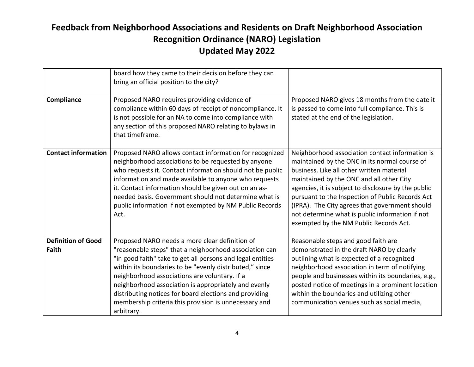|                                           | board how they came to their decision before they can<br>bring an official position to the city?                                                                                                                                                                                                                                                                                                                                                                            |                                                                                                                                                                                                                                                                                                                                                                                                                                                     |
|-------------------------------------------|-----------------------------------------------------------------------------------------------------------------------------------------------------------------------------------------------------------------------------------------------------------------------------------------------------------------------------------------------------------------------------------------------------------------------------------------------------------------------------|-----------------------------------------------------------------------------------------------------------------------------------------------------------------------------------------------------------------------------------------------------------------------------------------------------------------------------------------------------------------------------------------------------------------------------------------------------|
| Compliance                                | Proposed NARO requires providing evidence of<br>compliance within 60 days of receipt of noncompliance. It<br>is not possible for an NA to come into compliance with<br>any section of this proposed NARO relating to bylaws in<br>that timeframe.                                                                                                                                                                                                                           | Proposed NARO gives 18 months from the date it<br>is passed to come into full compliance. This is<br>stated at the end of the legislation.                                                                                                                                                                                                                                                                                                          |
| <b>Contact information</b>                | Proposed NARO allows contact information for recognized<br>neighborhood associations to be requested by anyone<br>who requests it. Contact information should not be public<br>information and made available to anyone who requests<br>it. Contact information should be given out on an as-<br>needed basis. Government should not determine what is<br>public information if not exempted by NM Public Records<br>Act.                                                   | Neighborhood association contact information is<br>maintained by the ONC in its normal course of<br>business. Like all other written material<br>maintained by the ONC and all other City<br>agencies, it is subject to disclosure by the public<br>pursuant to the Inspection of Public Records Act<br>(IPRA). The City agrees that government should<br>not determine what is public information if not<br>exempted by the NM Public Records Act. |
| <b>Definition of Good</b><br><b>Faith</b> | Proposed NARO needs a more clear definition of<br>"reasonable steps" that a neighborhood association can<br>"in good faith" take to get all persons and legal entities<br>within its boundaries to be "evenly distributed," since<br>neighborhood associations are voluntary. If a<br>neighborhood association is appropriately and evenly<br>distributing notices for board elections and providing<br>membership criteria this provision is unnecessary and<br>arbitrary. | Reasonable steps and good faith are<br>demonstrated in the draft NARO by clearly<br>outlining what is expected of a recognized<br>neighborhood association in term of notifying<br>people and businesses within its boundaries, e.g.,<br>posted notice of meetings in a prominent location<br>within the boundaries and utilizing other<br>communication venues such as social media,                                                               |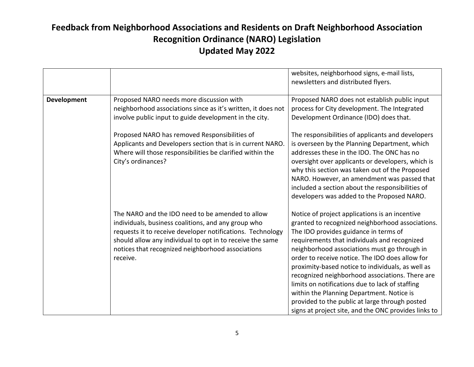|             |                                                                                                                                                                                                                                                                                                     | websites, neighborhood signs, e-mail lists,<br>newsletters and distributed flyers.                                                                                                                                                                                                                                                                                                                                                                                                                                                                                                                               |
|-------------|-----------------------------------------------------------------------------------------------------------------------------------------------------------------------------------------------------------------------------------------------------------------------------------------------------|------------------------------------------------------------------------------------------------------------------------------------------------------------------------------------------------------------------------------------------------------------------------------------------------------------------------------------------------------------------------------------------------------------------------------------------------------------------------------------------------------------------------------------------------------------------------------------------------------------------|
| Development | Proposed NARO needs more discussion with<br>neighborhood associations since as it's written, it does not<br>involve public input to guide development in the city.<br>Proposed NARO has removed Responsibilities of                                                                                 | Proposed NARO does not establish public input<br>process for City development. The Integrated<br>Development Ordinance (IDO) does that.<br>The responsibilities of applicants and developers                                                                                                                                                                                                                                                                                                                                                                                                                     |
|             | Applicants and Developers section that is in current NARO.<br>Where will those responsibilities be clarified within the<br>City's ordinances?                                                                                                                                                       | is overseen by the Planning Department, which<br>addresses these in the IDO. The ONC has no<br>oversight over applicants or developers, which is<br>why this section was taken out of the Proposed<br>NARO. However, an amendment was passed that<br>included a section about the responsibilities of<br>developers was added to the Proposed NARO.                                                                                                                                                                                                                                                              |
|             | The NARO and the IDO need to be amended to allow<br>individuals, business coalitions, and any group who<br>requests it to receive developer notifications. Technology<br>should allow any individual to opt in to receive the same<br>notices that recognized neighborhood associations<br>receive. | Notice of project applications is an incentive<br>granted to recognized neighborhood associations.<br>The IDO provides guidance in terms of<br>requirements that individuals and recognized<br>neighborhood associations must go through in<br>order to receive notice. The IDO does allow for<br>proximity-based notice to individuals, as well as<br>recognized neighborhood associations. There are<br>limits on notifications due to lack of staffing<br>within the Planning Department. Notice is<br>provided to the public at large through posted<br>signs at project site, and the ONC provides links to |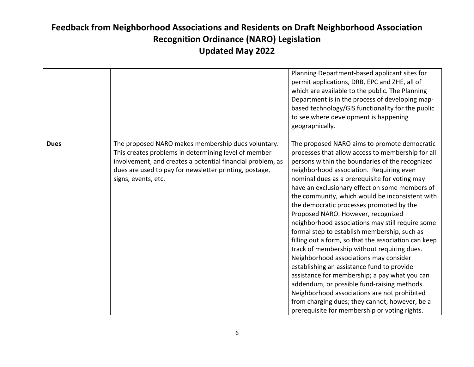|             |                                                                                                                                                                                                                                                           | Planning Department-based applicant sites for<br>permit applications, DRB, EPC and ZHE, all of<br>which are available to the public. The Planning<br>Department is in the process of developing map-<br>based technology/GIS functionality for the public<br>to see where development is happening<br>geographically.                                                                                                                                                                                                                                                                                                                                                                                                                                                                                                                                                                                                                                                                          |
|-------------|-----------------------------------------------------------------------------------------------------------------------------------------------------------------------------------------------------------------------------------------------------------|------------------------------------------------------------------------------------------------------------------------------------------------------------------------------------------------------------------------------------------------------------------------------------------------------------------------------------------------------------------------------------------------------------------------------------------------------------------------------------------------------------------------------------------------------------------------------------------------------------------------------------------------------------------------------------------------------------------------------------------------------------------------------------------------------------------------------------------------------------------------------------------------------------------------------------------------------------------------------------------------|
| <b>Dues</b> | The proposed NARO makes membership dues voluntary.<br>This creates problems in determining level of member<br>involvement, and creates a potential financial problem, as<br>dues are used to pay for newsletter printing, postage,<br>signs, events, etc. | The proposed NARO aims to promote democratic<br>processes that allow access to membership for all<br>persons within the boundaries of the recognized<br>neighborhood association. Requiring even<br>nominal dues as a prerequisite for voting may<br>have an exclusionary effect on some members of<br>the community, which would be inconsistent with<br>the democratic processes promoted by the<br>Proposed NARO. However, recognized<br>neighborhood associations may still require some<br>formal step to establish membership, such as<br>filling out a form, so that the association can keep<br>track of membership without requiring dues.<br>Neighborhood associations may consider<br>establishing an assistance fund to provide<br>assistance for membership; a pay what you can<br>addendum, or possible fund-raising methods.<br>Neighborhood associations are not prohibited<br>from charging dues; they cannot, however, be a<br>prerequisite for membership or voting rights. |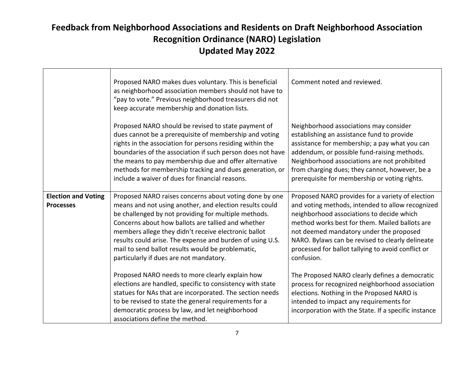|                                                | Proposed NARO makes dues voluntary. This is beneficial<br>as neighborhood association members should not have to<br>"pay to vote." Previous neighborhood treasurers did not<br>keep accurate membership and donation lists.                                                                                                                                                                                                                          | Comment noted and reviewed.                                                                                                                                                                                                                                                                                                                                            |
|------------------------------------------------|------------------------------------------------------------------------------------------------------------------------------------------------------------------------------------------------------------------------------------------------------------------------------------------------------------------------------------------------------------------------------------------------------------------------------------------------------|------------------------------------------------------------------------------------------------------------------------------------------------------------------------------------------------------------------------------------------------------------------------------------------------------------------------------------------------------------------------|
|                                                | Proposed NARO should be revised to state payment of<br>dues cannot be a prerequisite of membership and voting<br>rights in the association for persons residing within the<br>boundaries of the association if such person does not have<br>the means to pay membership due and offer alternative<br>methods for membership tracking and dues generation, or<br>include a waiver of dues for financial reasons.                                      | Neighborhood associations may consider<br>establishing an assistance fund to provide<br>assistance for membership; a pay what you can<br>addendum, or possible fund-raising methods.<br>Neighborhood associations are not prohibited<br>from charging dues; they cannot, however, be a<br>prerequisite for membership or voting rights.                                |
| <b>Election and Voting</b><br><b>Processes</b> | Proposed NARO raises concerns about voting done by one<br>means and not using another, and election results could<br>be challenged by not providing for multiple methods.<br>Concerns about how ballots are tallied and whether<br>members allege they didn't receive electronic ballot<br>results could arise. The expense and burden of using U.S.<br>mail to send ballot results would be problematic,<br>particularly if dues are not mandatory. | Proposed NARO provides for a variety of election<br>and voting methods, intended to allow recognized<br>neighborhood associations to decide which<br>method works best for them. Mailed ballots are<br>not deemed mandatory under the proposed<br>NARO. Bylaws can be revised to clearly delineate<br>processed for ballot tallying to avoid conflict or<br>confusion. |
|                                                | Proposed NARO needs to more clearly explain how<br>elections are handled, specific to consistency with state<br>statues for NAs that are incorporated. The section needs<br>to be revised to state the general requirements for a<br>democratic process by law, and let neighborhood<br>associations define the method.                                                                                                                              | The Proposed NARO clearly defines a democratic<br>process for recognized neighborhood association<br>elections. Nothing in the Proposed NARO is<br>intended to impact any requirements for<br>incorporation with the State. If a specific instance                                                                                                                     |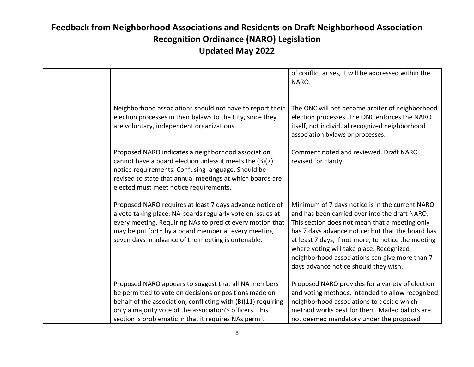|                                                                                                                                                                                                                                                                                                  | of conflict arises, it will be addressed within the<br>NARO.                                                                                                                                                                                                                                                                                                                                           |
|--------------------------------------------------------------------------------------------------------------------------------------------------------------------------------------------------------------------------------------------------------------------------------------------------|--------------------------------------------------------------------------------------------------------------------------------------------------------------------------------------------------------------------------------------------------------------------------------------------------------------------------------------------------------------------------------------------------------|
| Neighborhood associations should not have to report their<br>election processes in their bylaws to the City, since they<br>are voluntary, independent organizations.                                                                                                                             | The ONC will not become arbiter of neighborhood<br>election processes. The ONC enforces the NARO<br>itself, not individual recognized neighborhood<br>association bylaws or processes.                                                                                                                                                                                                                 |
| Proposed NARO indicates a neighborhood association<br>cannot have a board election unless it meets the (B)(7)<br>notice requirements. Confusing language. Should be<br>revised to state that annual meetings at which boards are<br>elected must meet notice requirements.                       | Comment noted and reviewed. Draft NARO<br>revised for clarity.                                                                                                                                                                                                                                                                                                                                         |
| Proposed NARO requires at least 7 days advance notice of<br>a vote taking place. NA boards regularly vote on issues at<br>every meeting. Requiring NAs to predict every motion that<br>may be put forth by a board member at every meeting<br>seven days in advance of the meeting is untenable. | Minimum of 7 days notice is in the current NARO<br>and has been carried over into the draft NARO.<br>This section does not mean that a meeting only<br>has 7 days advance notice; but that the board has<br>at least 7 days, if not more, to notice the meeting<br>where voting will take place. Recognized<br>neighborhood associations can give more than 7<br>days advance notice should they wish. |
| Proposed NARO appears to suggest that all NA members<br>be permitted to vote on decisions or positions made on<br>behalf of the association, conflicting with (B)(11) requiring<br>only a majority vote of the association's officers. This                                                      | Proposed NARO provides for a variety of election<br>and voting methods, intended to allow recognized<br>neighborhood associations to decide which<br>method works best for them. Mailed ballots are                                                                                                                                                                                                    |
| section is problematic in that it requires NAs permit                                                                                                                                                                                                                                            | not deemed mandatory under the proposed                                                                                                                                                                                                                                                                                                                                                                |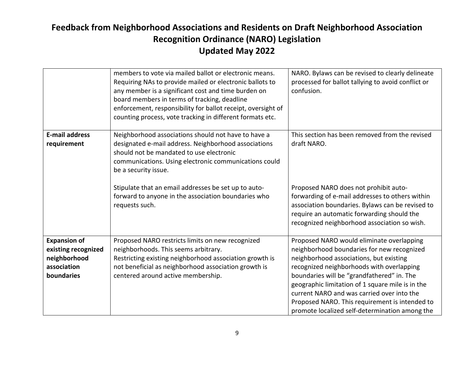|                                                                                         | members to vote via mailed ballot or electronic means.<br>Requiring NAs to provide mailed or electronic ballots to<br>any member is a significant cost and time burden on<br>board members in terms of tracking, deadline<br>enforcement, responsibility for ballot receipt, oversight of<br>counting process, vote tracking in different formats etc. | NARO. Bylaws can be revised to clearly delineate<br>processed for ballot tallying to avoid conflict or<br>confusion.                                                                                                                                                                                                                                                                                                                |
|-----------------------------------------------------------------------------------------|--------------------------------------------------------------------------------------------------------------------------------------------------------------------------------------------------------------------------------------------------------------------------------------------------------------------------------------------------------|-------------------------------------------------------------------------------------------------------------------------------------------------------------------------------------------------------------------------------------------------------------------------------------------------------------------------------------------------------------------------------------------------------------------------------------|
| <b>E-mail address</b><br>requirement                                                    | Neighborhood associations should not have to have a<br>designated e-mail address. Neighborhood associations<br>should not be mandated to use electronic<br>communications. Using electronic communications could<br>be a security issue.                                                                                                               | This section has been removed from the revised<br>draft NARO.                                                                                                                                                                                                                                                                                                                                                                       |
|                                                                                         | Stipulate that an email addresses be set up to auto-<br>forward to anyone in the association boundaries who<br>requests such.                                                                                                                                                                                                                          | Proposed NARO does not prohibit auto-<br>forwarding of e-mail addresses to others within<br>association boundaries. Bylaws can be revised to<br>require an automatic forwarding should the<br>recognized neighborhood association so wish.                                                                                                                                                                                          |
| <b>Expansion of</b><br>existing recognized<br>neighborhood<br>association<br>boundaries | Proposed NARO restricts limits on new recognized<br>neighborhoods. This seems arbitrary.<br>Restricting existing neighborhood association growth is<br>not beneficial as neighborhood association growth is<br>centered around active membership.                                                                                                      | Proposed NARO would eliminate overlapping<br>neighborhood boundaries for new recognized<br>neighborhood associations, but existing<br>recognized neighborhoods with overlapping<br>boundaries will be "grandfathered" in. The<br>geographic limitation of 1 square mile is in the<br>current NARO and was carried over into the<br>Proposed NARO. This requirement is intended to<br>promote localized self-determination among the |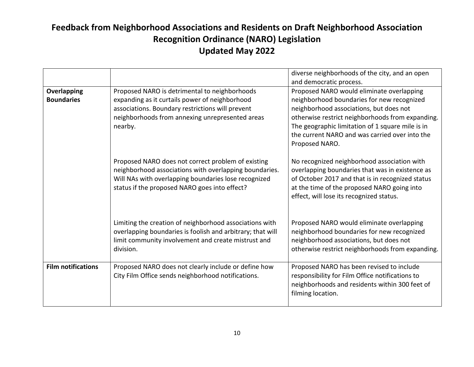|                                  |                                                                                                                                                                                                                       | diverse neighborhoods of the city, and an open<br>and democratic process.                                                                                                                                                                                                                                      |
|----------------------------------|-----------------------------------------------------------------------------------------------------------------------------------------------------------------------------------------------------------------------|----------------------------------------------------------------------------------------------------------------------------------------------------------------------------------------------------------------------------------------------------------------------------------------------------------------|
| Overlapping<br><b>Boundaries</b> | Proposed NARO is detrimental to neighborhoods<br>expanding as it curtails power of neighborhood<br>associations. Boundary restrictions will prevent<br>neighborhoods from annexing unrepresented areas<br>nearby.     | Proposed NARO would eliminate overlapping<br>neighborhood boundaries for new recognized<br>neighborhood associations, but does not<br>otherwise restrict neighborhoods from expanding.<br>The geographic limitation of 1 square mile is in<br>the current NARO and was carried over into the<br>Proposed NARO. |
|                                  | Proposed NARO does not correct problem of existing<br>neighborhood associations with overlapping boundaries.<br>Will NAs with overlapping boundaries lose recognized<br>status if the proposed NARO goes into effect? | No recognized neighborhood association with<br>overlapping boundaries that was in existence as<br>of October 2017 and that is in recognized status<br>at the time of the proposed NARO going into<br>effect, will lose its recognized status.                                                                  |
|                                  | Limiting the creation of neighborhood associations with<br>overlapping boundaries is foolish and arbitrary; that will<br>limit community involvement and create mistrust and<br>division.                             | Proposed NARO would eliminate overlapping<br>neighborhood boundaries for new recognized<br>neighborhood associations, but does not<br>otherwise restrict neighborhoods from expanding.                                                                                                                         |
| <b>Film notifications</b>        | Proposed NARO does not clearly include or define how<br>City Film Office sends neighborhood notifications.                                                                                                            | Proposed NARO has been revised to include<br>responsibility for Film Office notifications to<br>neighborhoods and residents within 300 feet of<br>filming location.                                                                                                                                            |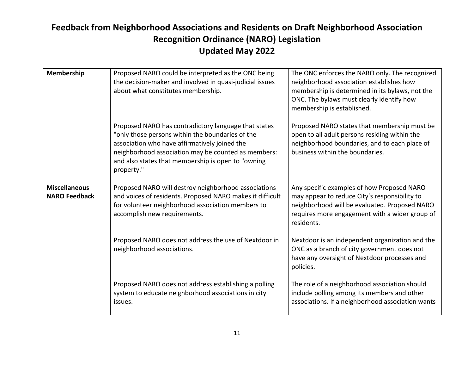| Membership                                   | Proposed NARO could be interpreted as the ONC being<br>the decision-maker and involved in quasi-judicial issues<br>about what constitutes membership.                                                                                                                                | The ONC enforces the NARO only. The recognized<br>neighborhood association establishes how<br>membership is determined in its bylaws, not the<br>ONC. The bylaws must clearly identify how<br>membership is established. |
|----------------------------------------------|--------------------------------------------------------------------------------------------------------------------------------------------------------------------------------------------------------------------------------------------------------------------------------------|--------------------------------------------------------------------------------------------------------------------------------------------------------------------------------------------------------------------------|
|                                              | Proposed NARO has contradictory language that states<br>"only those persons within the boundaries of the<br>association who have affirmatively joined the<br>neighborhood association may be counted as members:<br>and also states that membership is open to "owning<br>property." | Proposed NARO states that membership must be<br>open to all adult persons residing within the<br>neighborhood boundaries, and to each place of<br>business within the boundaries.                                        |
| <b>Miscellaneous</b><br><b>NARO Feedback</b> | Proposed NARO will destroy neighborhood associations<br>and voices of residents. Proposed NARO makes it difficult<br>for volunteer neighborhood association members to<br>accomplish new requirements.                                                                               | Any specific examples of how Proposed NARO<br>may appear to reduce City's responsibility to<br>neighborhood will be evaluated. Proposed NARO<br>requires more engagement with a wider group of<br>residents.             |
|                                              | Proposed NARO does not address the use of Nextdoor in<br>neighborhood associations.                                                                                                                                                                                                  | Nextdoor is an independent organization and the<br>ONC as a branch of city government does not<br>have any oversight of Nextdoor processes and<br>policies.                                                              |
|                                              | Proposed NARO does not address establishing a polling<br>system to educate neighborhood associations in city<br>issues.                                                                                                                                                              | The role of a neighborhood association should<br>include polling among its members and other<br>associations. If a neighborhood association wants                                                                        |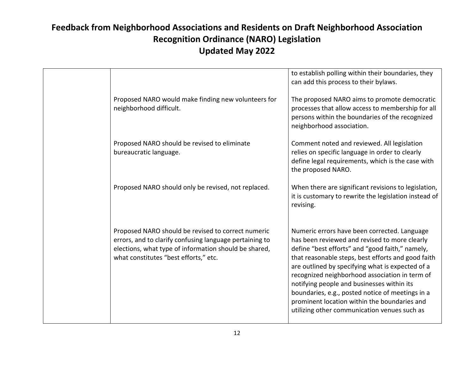|                                                                                                                                                                                                                 | to establish polling within their boundaries, they<br>can add this process to their bylaws.                                                                                                                                                                                                                                                                                                                                                                                                                    |
|-----------------------------------------------------------------------------------------------------------------------------------------------------------------------------------------------------------------|----------------------------------------------------------------------------------------------------------------------------------------------------------------------------------------------------------------------------------------------------------------------------------------------------------------------------------------------------------------------------------------------------------------------------------------------------------------------------------------------------------------|
| Proposed NARO would make finding new volunteers for<br>neighborhood difficult.                                                                                                                                  | The proposed NARO aims to promote democratic<br>processes that allow access to membership for all<br>persons within the boundaries of the recognized<br>neighborhood association.                                                                                                                                                                                                                                                                                                                              |
| Proposed NARO should be revised to eliminate<br>bureaucratic language.                                                                                                                                          | Comment noted and reviewed. All legislation<br>relies on specific language in order to clearly<br>define legal requirements, which is the case with<br>the proposed NARO.                                                                                                                                                                                                                                                                                                                                      |
| Proposed NARO should only be revised, not replaced.                                                                                                                                                             | When there are significant revisions to legislation,<br>it is customary to rewrite the legislation instead of<br>revising.                                                                                                                                                                                                                                                                                                                                                                                     |
| Proposed NARO should be revised to correct numeric<br>errors, and to clarify confusing language pertaining to<br>elections, what type of information should be shared,<br>what constitutes "best efforts," etc. | Numeric errors have been corrected. Language<br>has been reviewed and revised to more clearly<br>define "best efforts" and "good faith," namely,<br>that reasonable steps, best efforts and good faith<br>are outlined by specifying what is expected of a<br>recognized neighborhood association in term of<br>notifying people and businesses within its<br>boundaries, e.g., posted notice of meetings in a<br>prominent location within the boundaries and<br>utilizing other communication venues such as |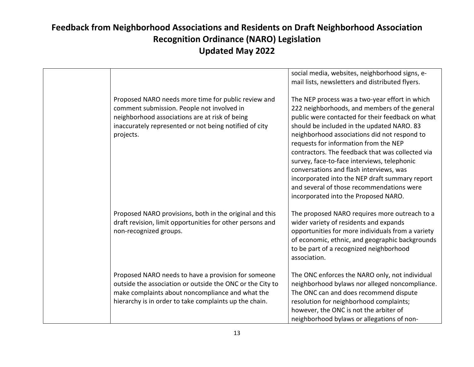|                                                                                                                                                                                                                                | social media, websites, neighborhood signs, e-<br>mail lists, newsletters and distributed flyers.                                                                                                                                                                                                                                                                                                                                                                                                                                                                               |
|--------------------------------------------------------------------------------------------------------------------------------------------------------------------------------------------------------------------------------|---------------------------------------------------------------------------------------------------------------------------------------------------------------------------------------------------------------------------------------------------------------------------------------------------------------------------------------------------------------------------------------------------------------------------------------------------------------------------------------------------------------------------------------------------------------------------------|
|                                                                                                                                                                                                                                |                                                                                                                                                                                                                                                                                                                                                                                                                                                                                                                                                                                 |
| Proposed NARO needs more time for public review and<br>comment submission. People not involved in<br>neighborhood associations are at risk of being<br>inaccurately represented or not being notified of city<br>projects.     | The NEP process was a two-year effort in which<br>222 neighborhoods, and members of the general<br>public were contacted for their feedback on what<br>should be included in the updated NARO. 83<br>neighborhood associations did not respond to<br>requests for information from the NEP<br>contractors. The feedback that was collected via<br>survey, face-to-face interviews, telephonic<br>conversations and flash interviews, was<br>incorporated into the NEP draft summary report<br>and several of those recommendations were<br>incorporated into the Proposed NARO. |
| Proposed NARO provisions, both in the original and this<br>draft revision, limit opportunities for other persons and<br>non-recognized groups.                                                                                 | The proposed NARO requires more outreach to a<br>wider variety of residents and expands<br>opportunities for more individuals from a variety<br>of economic, ethnic, and geographic backgrounds<br>to be part of a recognized neighborhood<br>association.                                                                                                                                                                                                                                                                                                                      |
| Proposed NARO needs to have a provision for someone<br>outside the association or outside the ONC or the City to<br>make complaints about noncompliance and what the<br>hierarchy is in order to take complaints up the chain. | The ONC enforces the NARO only, not individual<br>neighborhood bylaws nor alleged noncompliance.<br>The ONC can and does recommend dispute<br>resolution for neighborhood complaints;<br>however, the ONC is not the arbiter of<br>neighborhood bylaws or allegations of non-                                                                                                                                                                                                                                                                                                   |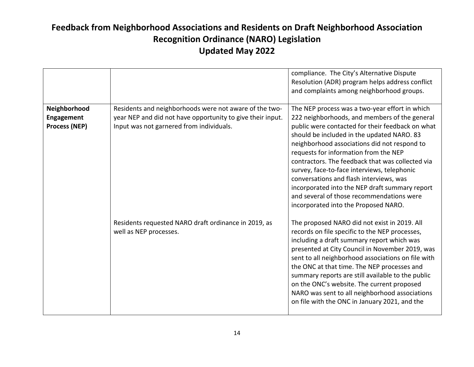|                                                           |                                                                                                                                                                  | compliance. The City's Alternative Dispute<br>Resolution (ADR) program helps address conflict<br>and complaints among neighborhood groups.                                                                                                                                                                                                                                                                                                                                                                                                                                      |
|-----------------------------------------------------------|------------------------------------------------------------------------------------------------------------------------------------------------------------------|---------------------------------------------------------------------------------------------------------------------------------------------------------------------------------------------------------------------------------------------------------------------------------------------------------------------------------------------------------------------------------------------------------------------------------------------------------------------------------------------------------------------------------------------------------------------------------|
| Neighborhood<br><b>Engagement</b><br><b>Process (NEP)</b> | Residents and neighborhoods were not aware of the two-<br>year NEP and did not have opportunity to give their input.<br>Input was not garnered from individuals. | The NEP process was a two-year effort in which<br>222 neighborhoods, and members of the general<br>public were contacted for their feedback on what<br>should be included in the updated NARO. 83<br>neighborhood associations did not respond to<br>requests for information from the NEP<br>contractors. The feedback that was collected via<br>survey, face-to-face interviews, telephonic<br>conversations and flash interviews, was<br>incorporated into the NEP draft summary report<br>and several of those recommendations were<br>incorporated into the Proposed NARO. |
|                                                           | Residents requested NARO draft ordinance in 2019, as<br>well as NEP processes.                                                                                   | The proposed NARO did not exist in 2019. All<br>records on file specific to the NEP processes,<br>including a draft summary report which was<br>presented at City Council in November 2019, was<br>sent to all neighborhood associations on file with<br>the ONC at that time. The NEP processes and<br>summary reports are still available to the public<br>on the ONC's website. The current proposed<br>NARO was sent to all neighborhood associations<br>on file with the ONC in January 2021, and the                                                                      |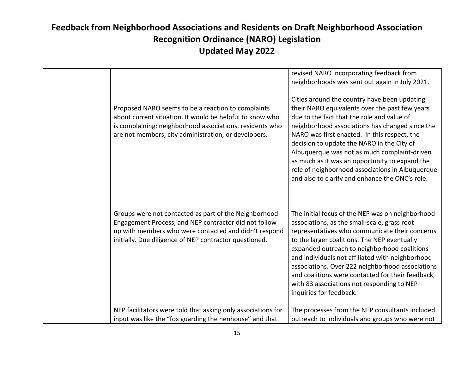|                                                                                                                                                                                                                                    | revised NARO incorporating feedback from<br>neighborhoods was sent out again in July 2021.                                                                                                                                                                                                                                                                                                                                                                                                             |
|------------------------------------------------------------------------------------------------------------------------------------------------------------------------------------------------------------------------------------|--------------------------------------------------------------------------------------------------------------------------------------------------------------------------------------------------------------------------------------------------------------------------------------------------------------------------------------------------------------------------------------------------------------------------------------------------------------------------------------------------------|
| Proposed NARO seems to be a reaction to complaints<br>about current situation. It would be helpful to know who<br>is complaining: neighborhood associations, residents who<br>are not members, city administration, or developers. | Cities around the country have been updating<br>their NARO equivalents over the past few years<br>due to the fact that the role and value of<br>neighborhood associations has changed since the<br>NARO was first enacted. In this respect, the<br>decision to update the NARO in the City of<br>Albuquerque was not as much complaint-driven<br>as much as it was an opportunity to expand the<br>role of neighborhood associations in Albuquerque<br>and also to clarify and enhance the ONC's role. |
| Groups were not contacted as part of the Neighborhood<br>Engagement Process, and NEP contractor did not follow<br>up with members who were contacted and didn't respond<br>initially. Due diligence of NEP contractor questioned.  | The initial focus of the NEP was on neighborhood<br>associations, as the small-scale, grass root<br>representatives who communicate their concerns<br>to the larger coalitions. The NEP eventually<br>expanded outreach to neighborhood coalitions<br>and individuals not affiliated with neighborhood<br>associations. Over 222 neighborhood associations<br>and coalitions were contacted for their feedback,<br>with 83 associations not responding to NEP<br>inquiries for feedback.               |
| NEP facilitators were told that asking only associations for                                                                                                                                                                       | The processes from the NEP consultants included                                                                                                                                                                                                                                                                                                                                                                                                                                                        |
| input was like the "fox guarding the henhouse" and that                                                                                                                                                                            | outreach to individuals and groups who were not                                                                                                                                                                                                                                                                                                                                                                                                                                                        |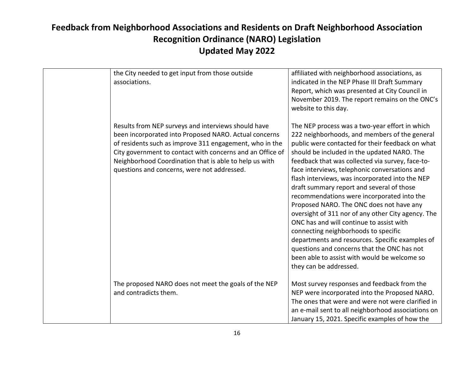| the City needed to get input from those outside<br>associations.                                                                                                                                                                                                                                                                              | affiliated with neighborhood associations, as<br>indicated in the NEP Phase III Draft Summary<br>Report, which was presented at City Council in<br>November 2019. The report remains on the ONC's<br>website to this day.                                                                                                                                                                                                                                                                                                                                                                                                                                                                                                                                                                                               |
|-----------------------------------------------------------------------------------------------------------------------------------------------------------------------------------------------------------------------------------------------------------------------------------------------------------------------------------------------|-------------------------------------------------------------------------------------------------------------------------------------------------------------------------------------------------------------------------------------------------------------------------------------------------------------------------------------------------------------------------------------------------------------------------------------------------------------------------------------------------------------------------------------------------------------------------------------------------------------------------------------------------------------------------------------------------------------------------------------------------------------------------------------------------------------------------|
| Results from NEP surveys and interviews should have<br>been incorporated into Proposed NARO. Actual concerns<br>of residents such as improve 311 engagement, who in the<br>City government to contact with concerns and an Office of<br>Neighborhood Coordination that is able to help us with<br>questions and concerns, were not addressed. | The NEP process was a two-year effort in which<br>222 neighborhoods, and members of the general<br>public were contacted for their feedback on what<br>should be included in the updated NARO. The<br>feedback that was collected via survey, face-to-<br>face interviews, telephonic conversations and<br>flash interviews, was incorporated into the NEP<br>draft summary report and several of those<br>recommendations were incorporated into the<br>Proposed NARO. The ONC does not have any<br>oversight of 311 nor of any other City agency. The<br>ONC has and will continue to assist with<br>connecting neighborhoods to specific<br>departments and resources. Specific examples of<br>questions and concerns that the ONC has not<br>been able to assist with would be welcome so<br>they can be addressed. |
| The proposed NARO does not meet the goals of the NEP<br>and contradicts them.                                                                                                                                                                                                                                                                 | Most survey responses and feedback from the<br>NEP were incorporated into the Proposed NARO.<br>The ones that were and were not were clarified in<br>an e-mail sent to all neighborhood associations on<br>January 15, 2021. Specific examples of how the                                                                                                                                                                                                                                                                                                                                                                                                                                                                                                                                                               |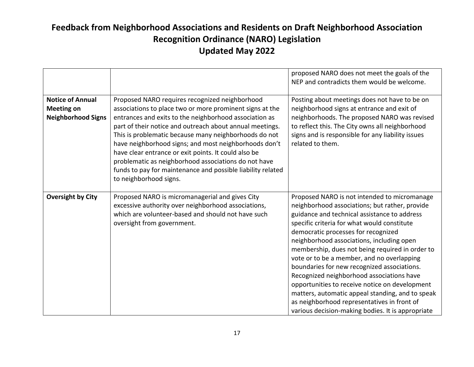|                                                                           |                                                                                                                                                                                                                                                                                                                                                                                                                                                                                                                                                             | proposed NARO does not meet the goals of the<br>NEP and contradicts them would be welcome.                                                                                                                                                                                                                                                                                                                                                                                                                                                                                                                                                                                               |
|---------------------------------------------------------------------------|-------------------------------------------------------------------------------------------------------------------------------------------------------------------------------------------------------------------------------------------------------------------------------------------------------------------------------------------------------------------------------------------------------------------------------------------------------------------------------------------------------------------------------------------------------------|------------------------------------------------------------------------------------------------------------------------------------------------------------------------------------------------------------------------------------------------------------------------------------------------------------------------------------------------------------------------------------------------------------------------------------------------------------------------------------------------------------------------------------------------------------------------------------------------------------------------------------------------------------------------------------------|
| <b>Notice of Annual</b><br><b>Meeting on</b><br><b>Neighborhood Signs</b> | Proposed NARO requires recognized neighborhood<br>associations to place two or more prominent signs at the<br>entrances and exits to the neighborhood association as<br>part of their notice and outreach about annual meetings.<br>This is problematic because many neighborhoods do not<br>have neighborhood signs; and most neighborhoods don't<br>have clear entrance or exit points. It could also be<br>problematic as neighborhood associations do not have<br>funds to pay for maintenance and possible liability related<br>to neighborhood signs. | Posting about meetings does not have to be on<br>neighborhood signs at entrance and exit of<br>neighborhoods. The proposed NARO was revised<br>to reflect this. The City owns all neighborhood<br>signs and is responsible for any liability issues<br>related to them.                                                                                                                                                                                                                                                                                                                                                                                                                  |
| <b>Oversight by City</b>                                                  | Proposed NARO is micromanagerial and gives City<br>excessive authority over neighborhood associations,<br>which are volunteer-based and should not have such<br>oversight from government.                                                                                                                                                                                                                                                                                                                                                                  | Proposed NARO is not intended to micromanage<br>neighborhood associations; but rather, provide<br>guidance and technical assistance to address<br>specific criteria for what would constitute<br>democratic processes for recognized<br>neighborhood associations, including open<br>membership, dues not being required in order to<br>vote or to be a member, and no overlapping<br>boundaries for new recognized associations.<br>Recognized neighborhood associations have<br>opportunities to receive notice on development<br>matters, automatic appeal standing, and to speak<br>as neighborhood representatives in front of<br>various decision-making bodies. It is appropriate |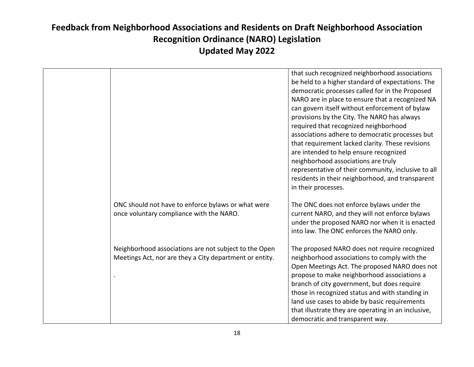|                                                                                                                  | that such recognized neighborhood associations<br>be held to a higher standard of expectations. The<br>democratic processes called for in the Proposed<br>NARO are in place to ensure that a recognized NA<br>can govern itself without enforcement of bylaw<br>provisions by the City. The NARO has always<br>required that recognized neighborhood<br>associations adhere to democratic processes but<br>that requirement lacked clarity. These revisions<br>are intended to help ensure recognized<br>neighborhood associations are truly<br>representative of their community, inclusive to all<br>residents in their neighborhood, and transparent<br>in their processes. |
|------------------------------------------------------------------------------------------------------------------|--------------------------------------------------------------------------------------------------------------------------------------------------------------------------------------------------------------------------------------------------------------------------------------------------------------------------------------------------------------------------------------------------------------------------------------------------------------------------------------------------------------------------------------------------------------------------------------------------------------------------------------------------------------------------------|
| ONC should not have to enforce bylaws or what were<br>once voluntary compliance with the NARO.                   | The ONC does not enforce bylaws under the<br>current NARO, and they will not enforce bylaws<br>under the proposed NARO nor when it is enacted<br>into law. The ONC enforces the NARO only.                                                                                                                                                                                                                                                                                                                                                                                                                                                                                     |
| Neighborhood associations are not subject to the Open<br>Meetings Act, nor are they a City department or entity. | The proposed NARO does not require recognized<br>neighborhood associations to comply with the<br>Open Meetings Act. The proposed NARO does not<br>propose to make neighborhood associations a<br>branch of city government, but does require<br>those in recognized status and with standing in<br>land use cases to abide by basic requirements<br>that illustrate they are operating in an inclusive,<br>democratic and transparent way.                                                                                                                                                                                                                                     |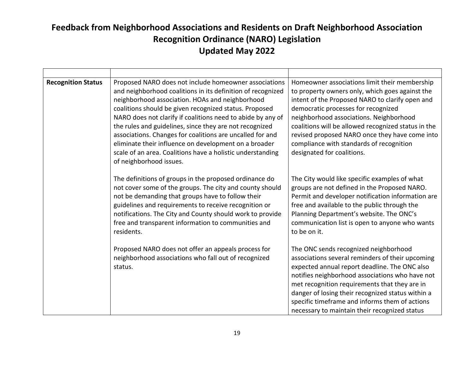| <b>Recognition Status</b> | Proposed NARO does not include homeowner associations<br>and neighborhood coalitions in its definition of recognized<br>neighborhood association. HOAs and neighborhood<br>coalitions should be given recognized status. Proposed<br>NARO does not clarify if coalitions need to abide by any of<br>the rules and guidelines, since they are not recognized<br>associations. Changes for coalitions are uncalled for and<br>eliminate their influence on development on a broader<br>scale of an area. Coalitions have a holistic understanding<br>of neighborhood issues. | Homeowner associations limit their membership<br>to property owners only, which goes against the<br>intent of the Proposed NARO to clarify open and<br>democratic processes for recognized<br>neighborhood associations. Neighborhood<br>coalitions will be allowed recognized status in the<br>revised proposed NARO once they have come into<br>compliance with standards of recognition<br>designated for coalitions. |
|---------------------------|----------------------------------------------------------------------------------------------------------------------------------------------------------------------------------------------------------------------------------------------------------------------------------------------------------------------------------------------------------------------------------------------------------------------------------------------------------------------------------------------------------------------------------------------------------------------------|--------------------------------------------------------------------------------------------------------------------------------------------------------------------------------------------------------------------------------------------------------------------------------------------------------------------------------------------------------------------------------------------------------------------------|
|                           | The definitions of groups in the proposed ordinance do<br>not cover some of the groups. The city and county should<br>not be demanding that groups have to follow their<br>guidelines and requirements to receive recognition or<br>notifications. The City and County should work to provide<br>free and transparent information to communities and<br>residents.                                                                                                                                                                                                         | The City would like specific examples of what<br>groups are not defined in the Proposed NARO.<br>Permit and developer notification information are<br>free and available to the public through the<br>Planning Department's website. The ONC's<br>communication list is open to anyone who wants<br>to be on it.                                                                                                         |
|                           | Proposed NARO does not offer an appeals process for<br>neighborhood associations who fall out of recognized<br>status.                                                                                                                                                                                                                                                                                                                                                                                                                                                     | The ONC sends recognized neighborhood<br>associations several reminders of their upcoming<br>expected annual report deadline. The ONC also<br>notifies neighborhood associations who have not<br>met recognition requirements that they are in<br>danger of losing their recognized status within a<br>specific timeframe and informs them of actions<br>necessary to maintain their recognized status                   |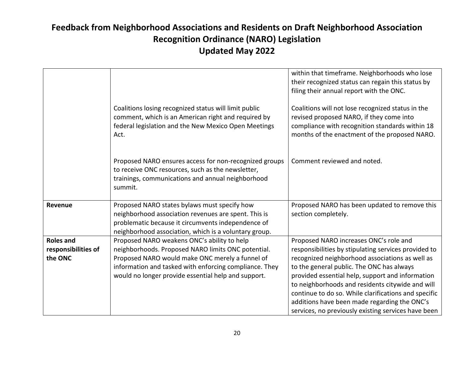|                                                    | Coalitions losing recognized status will limit public<br>comment, which is an American right and required by<br>federal legislation and the New Mexico Open Meetings<br>Act.                                                                                          | within that timeframe. Neighborhoods who lose<br>their recognized status can regain this status by<br>filing their annual report with the ONC.<br>Coalitions will not lose recognized status in the<br>revised proposed NARO, if they come into<br>compliance with recognition standards within 18<br>months of the enactment of the proposed NARO.                                                                                                                   |
|----------------------------------------------------|-----------------------------------------------------------------------------------------------------------------------------------------------------------------------------------------------------------------------------------------------------------------------|-----------------------------------------------------------------------------------------------------------------------------------------------------------------------------------------------------------------------------------------------------------------------------------------------------------------------------------------------------------------------------------------------------------------------------------------------------------------------|
|                                                    | Proposed NARO ensures access for non-recognized groups<br>to receive ONC resources, such as the newsletter,<br>trainings, communications and annual neighborhood<br>summit.                                                                                           | Comment reviewed and noted.                                                                                                                                                                                                                                                                                                                                                                                                                                           |
| Revenue                                            | Proposed NARO states bylaws must specify how<br>neighborhood association revenues are spent. This is<br>problematic because it circumvents independence of<br>neighborhood association, which is a voluntary group.                                                   | Proposed NARO has been updated to remove this<br>section completely.                                                                                                                                                                                                                                                                                                                                                                                                  |
| <b>Roles and</b><br>responsibilities of<br>the ONC | Proposed NARO weakens ONC's ability to help<br>neighborhoods. Proposed NARO limits ONC potential.<br>Proposed NARO would make ONC merely a funnel of<br>information and tasked with enforcing compliance. They<br>would no longer provide essential help and support. | Proposed NARO increases ONC's role and<br>responsibilities by stipulating services provided to<br>recognized neighborhood associations as well as<br>to the general public. The ONC has always<br>provided essential help, support and information<br>to neighborhoods and residents citywide and will<br>continue to do so. While clarifications and specific<br>additions have been made regarding the ONC's<br>services, no previously existing services have been |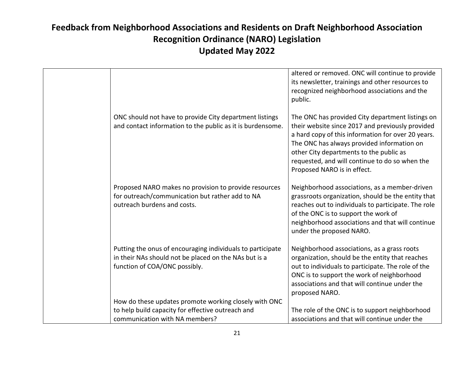|                                                                                                                                                      | altered or removed. ONC will continue to provide<br>its newsletter, trainings and other resources to<br>recognized neighborhood associations and the<br>public.                                                                                                                                                                      |
|------------------------------------------------------------------------------------------------------------------------------------------------------|--------------------------------------------------------------------------------------------------------------------------------------------------------------------------------------------------------------------------------------------------------------------------------------------------------------------------------------|
| ONC should not have to provide City department listings<br>and contact information to the public as it is burdensome.                                | The ONC has provided City department listings on<br>their website since 2017 and previously provided<br>a hard copy of this information for over 20 years.<br>The ONC has always provided information on<br>other City departments to the public as<br>requested, and will continue to do so when the<br>Proposed NARO is in effect. |
| Proposed NARO makes no provision to provide resources<br>for outreach/communication but rather add to NA<br>outreach burdens and costs.              | Neighborhood associations, as a member-driven<br>grassroots organization, should be the entity that<br>reaches out to individuals to participate. The role<br>of the ONC is to support the work of<br>neighborhood associations and that will continue<br>under the proposed NARO.                                                   |
| Putting the onus of encouraging individuals to participate<br>in their NAs should not be placed on the NAs but is a<br>function of COA/ONC possibly. | Neighborhood associations, as a grass roots<br>organization, should be the entity that reaches<br>out to individuals to participate. The role of the<br>ONC is to support the work of neighborhood<br>associations and that will continue under the<br>proposed NARO.                                                                |
| How do these updates promote working closely with ONC                                                                                                |                                                                                                                                                                                                                                                                                                                                      |
| to help build capacity for effective outreach and                                                                                                    | The role of the ONC is to support neighborhood                                                                                                                                                                                                                                                                                       |
| communication with NA members?                                                                                                                       | associations and that will continue under the                                                                                                                                                                                                                                                                                        |